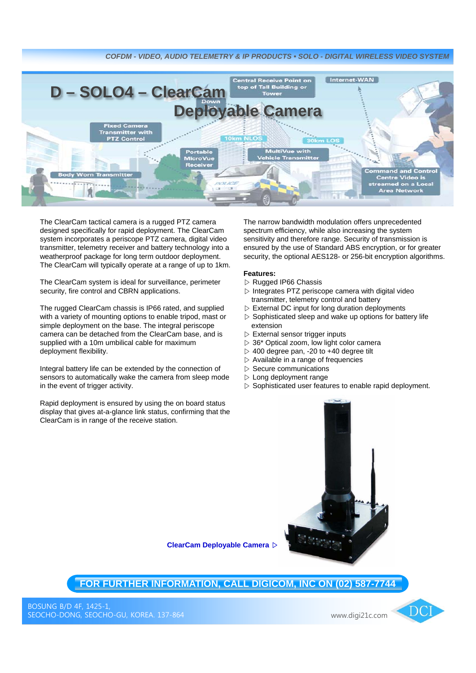

The ClearCam tactical camera is a rugged PTZ camera designed specifically for rapid deployment. The ClearCam system incorporates a periscope PTZ camera, digital video transmitter, telemetry receiver and battery technology into a weatherproof package for long term outdoor deployment. The ClearCam will typically operate at a range of up to 1km.

The ClearCam system is ideal for surveillance, perimeter security, fire control and CBRN applications.

The rugged ClearCam chassis is IP66 rated, and supplied with a variety of mounting options to enable tripod, mast or simple deployment on the base. The integral periscope camera can be detached from the ClearCam base, and is supplied with a 10m umbilical cable for maximum deployment flexibility.

Integral battery life can be extended by the connection of sensors to automatically wake the camera from sleep mode in the event of trigger activity.

Rapid deployment is ensured by using the on board status display that gives at-a-glance link status, confirming that the ClearCam is in range of the receive station.

The narrow bandwidth modulation offers unprecedented spectrum efficiency, while also increasing the system sensitivity and therefore range. Security of transmission is ensured by the use of Standard ABS encryption, or for greater security, the optional AES128- or 256-bit encryption algorithms.

## **Features:**

- ▷ Rugged IP66 Chassis
- $\triangleright$  Integrates PTZ periscope camera with digital video transmitter, telemetry control and battery
- $\triangleright$  External DC input for long duration deployments
- $\triangleright$  Sophisticated sleep and wake up options for battery life extension
- $\triangleright$  External sensor trigger inputs
- $\triangleright$  36\* Optical zoom, low light color camera
- $>$  400 degree pan, -20 to +40 degree tilt
- $\triangleright$  Available in a range of frequencies
- $\triangleright$  Secure communications
- $\triangleright$  Long deployment range
- $\triangleright$  Sophisticated user features to enable rapid deployment.



**ClearCam Deployable Camera** ▷

**FOR FURTHER INFORMATION, CALL DIGICOM, INC ON (02) 587-7744**

www.digi21c.com

 $\overline{DC}$